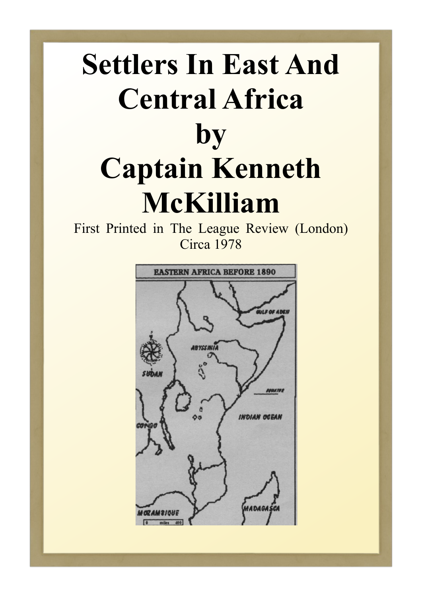# **Settlers In East And Central Africa by Captain Kenneth McKilliam**

First Printed in The League Review (London) Circa 1978

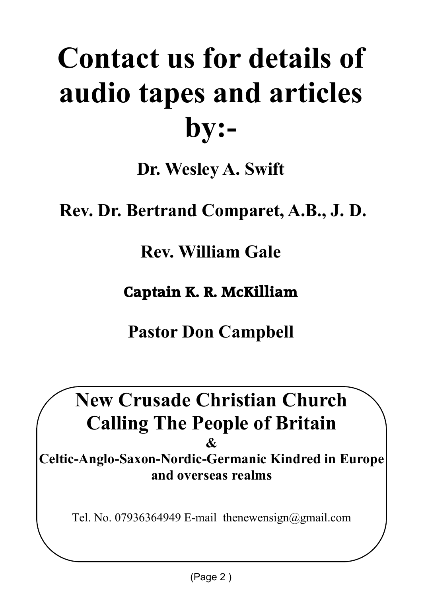# **Contact us for details of audio tapes and articles by:-**

**Dr. Wesley A. Swift**

 **Rev. Dr. Bertrand Comparet, A.B., J. D.**

**Rev. William Gale**

**Captain K. R. McKilliam**

**Pastor Don Campbell**

**New Crusade Christian Church Calling The People of Britain & Celtic-Anglo-Saxon-Nordic-Germanic Kindred in Europe and overseas realms**

Tel. No. 07936364949 E-mail thenewensign@gmail.com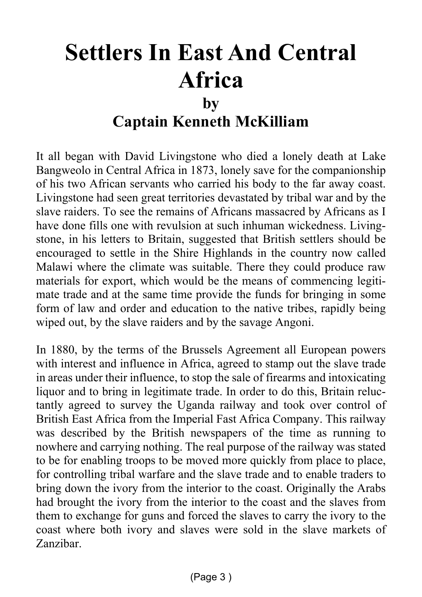## **Settlers In East And Central Africa by Captain Kenneth McKilliam**

It all began with David Livingstone who died a lonely death at Lake Bangweolo in Central Africa in 1873, lonely save for the companionship of his two African servants who carried his body to the far away coast. Livingstone had seen great territories devastated by tribal war and by the slave raiders. To see the remains of Africans massacred by Africans as I have done fills one with revulsion at such inhuman wickedness. Livingstone, in his letters to Britain, suggested that British settlers should be encouraged to settle in the Shire Highlands in the country now called Malawi where the climate was suitable. There they could produce raw materials for export, which would be the means of commencing legitimate trade and at the same time provide the funds for bringing in some form of law and order and education to the native tribes, rapidly being wiped out, by the slave raiders and by the savage Angoni.

In 1880, by the terms of the Brussels Agreement all European powers with interest and influence in Africa, agreed to stamp out the slave trade in areas under their influence, to stop the sale of firearms and intoxicating liquor and to bring in legitimate trade. In order to do this, Britain reluctantly agreed to survey the Uganda railway and took over control of British East Africa from the Imperial Fast Africa Company. This railway was described by the British newspapers of the time as running to nowhere and carrying nothing. The real purpose of the railway was stated to be for enabling troops to be moved more quickly from place to place, for controlling tribal warfare and the slave trade and to enable traders to bring down the ivory from the interior to the coast. Originally the Arabs had brought the ivory from the interior to the coast and the slaves from them to exchange for guns and forced the slaves to carry the ivory to the coast where both ivory and slaves were sold in the slave markets of Zanzibar.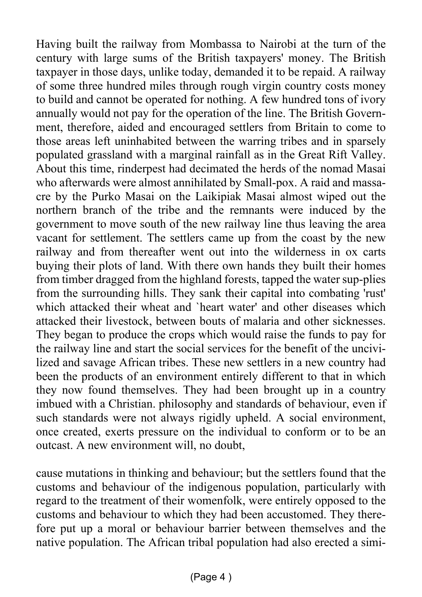Having built the railway from Mombassa to Nairobi at the turn of the century with large sums of the British taxpayers' money. The British taxpayer in those days, unlike today, demanded it to be repaid. A railway of some three hundred miles through rough virgin country costs money to build and cannot be operated for nothing. A few hundred tons of ivory annually would not pay for the operation of the line. The British Government, therefore, aided and encouraged settlers from Britain to come to those areas left uninhabited between the warring tribes and in sparsely populated grassland with a marginal rainfall as in the Great Rift Valley. About this time, rinderpest had decimated the herds of the nomad Masai who afterwards were almost annihilated by Small-pox. A raid and massacre by the Purko Masai on the Laikipiak Masai almost wiped out the northern branch of the tribe and the remnants were induced by the government to move south of the new railway line thus leaving the area vacant for settlement. The settlers came up from the coast by the new railway and from thereafter went out into the wilderness in ox carts buying their plots of land. With there own hands they built their homes from timber dragged from the highland forests, tapped the water sup-plies from the surrounding hills. They sank their capital into combating 'rust' which attacked their wheat and 'heart water' and other diseases which attacked their livestock, between bouts of malaria and other sicknesses. They began to produce the crops which would raise the funds to pay for the railway line and start the social services for the benefit of the uncivilized and savage African tribes. These new settlers in a new country had been the products of an environment entirely different to that in which they now found themselves. They had been brought up in a country imbued with a Christian. philosophy and standards of behaviour, even if such standards were not always rigidly upheld. A social environment, once created, exerts pressure on the individual to conform or to be an outcast. A new environment will, no doubt,

cause mutations in thinking and behaviour; but the settlers found that the customs and behaviour of the indigenous population, particularly with regard to the treatment of their womenfolk, were entirely opposed to the customs and behaviour to which they had been accustomed. They therefore put up a moral or behaviour barrier between themselves and the native population. The African tribal population had also erected a simi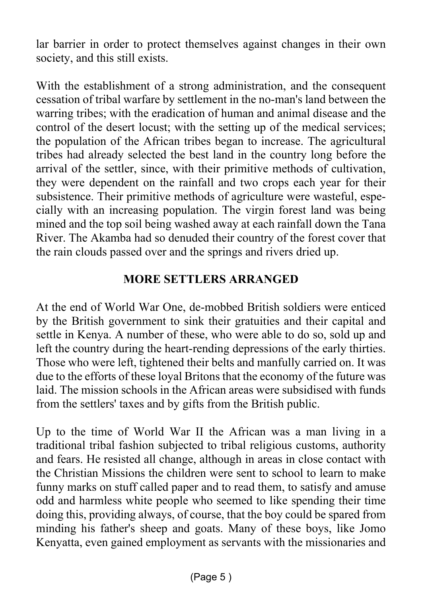lar barrier in order to protect themselves against changes in their own society, and this still exists.

With the establishment of a strong administration, and the consequent cessation of tribal warfare by settlement in the no-man's land between the warring tribes; with the eradication of human and animal disease and the control of the desert locust; with the setting up of the medical services; the population of the African tribes began to increase. The agricultural tribes had already selected the best land in the country long before the arrival of the settler, since, with their primitive methods of cultivation, they were dependent on the rainfall and two crops each year for their subsistence. Their primitive methods of agriculture were wasteful, especially with an increasing population. The virgin forest land was being mined and the top soil being washed away at each rainfall down the Tana River. The Akamba had so denuded their country of the forest cover that the rain clouds passed over and the springs and rivers dried up.

#### **MORE SETTLERS ARRANGED**

At the end of World War One, de-mobbed British soldiers were enticed by the British government to sink their gratuities and their capital and settle in Kenya. A number of these, who were able to do so, sold up and left the country during the heart-rending depressions of the early thirties. Those who were left, tightened their belts and manfully carried on. It was due to the efforts of these loyal Britons that the economy of the future was laid. The mission schools in the African areas were subsidised with funds from the settlers' taxes and by gifts from the British public.

Up to the time of World War II the African was a man living in a traditional tribal fashion subjected to tribal religious customs, authority and fears. He resisted all change, although in areas in close contact with the Christian Missions the children were sent to school to learn to make funny marks on stuff called paper and to read them, to satisfy and amuse odd and harmless white people who seemed to like spending their time doing this, providing always, of course, that the boy could be spared from minding his father's sheep and goats. Many of these boys, like Jomo Kenyatta, even gained employment as servants with the missionaries and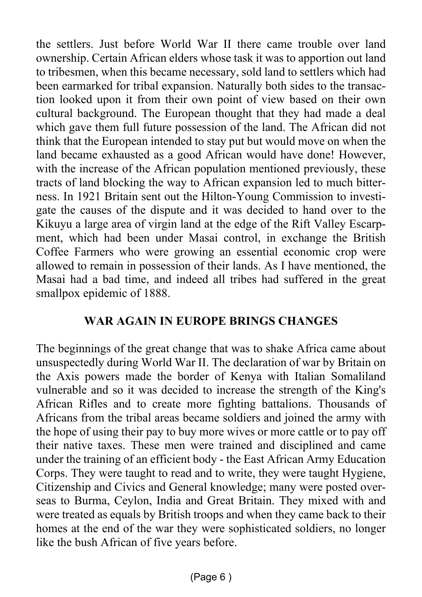the settlers. Just before World War II there came trouble over land ownership. Certain African elders whose task it was to apportion out land to tribesmen, when this became necessary, sold land to settlers which had been earmarked for tribal expansion. Naturally both sides to the transaction looked upon it from their own point of view based on their own cultural background. The European thought that they had made a deal which gave them full future possession of the land. The African did not think that the European intended to stay put but would move on when the land became exhausted as a good African would have done! However, with the increase of the African population mentioned previously, these tracts of land blocking the way to African expansion led to much bitterness. In 1921 Britain sent out the Hilton-Young Commission to investigate the causes of the dispute and it was decided to hand over to the Kikuyu a large area of virgin land at the edge of the Rift Valley Escarpment, which had been under Masai control, in exchange the British Coffee Farmers who were growing an essential economic crop were allowed to remain in possession of their lands. As I have mentioned, the Masai had a bad time, and indeed all tribes had suffered in the great smallpox epidemic of 1888.

#### **WAR AGAIN IN EUROPE BRINGS CHANGES**

The beginnings of the great change that was to shake Africa came about unsuspectedly during World War II. The declaration of war by Britain on the Axis powers made the border of Kenya with Italian Somaliland vulnerable and so it was decided to increase the strength of the King's African Rifles and to create more fighting battalions. Thousands of Africans from the tribal areas became soldiers and joined the army with the hope of using their pay to buy more wives or more cattle or to pay off their native taxes. These men were trained and disciplined and came under the training of an efficient body - the East African Army Education Corps. They were taught to read and to write, they were taught Hygiene, Citizenship and Civics and General knowledge; many were posted overseas to Burma, Ceylon, India and Great Britain. They mixed with and were treated as equals by British troops and when they came back to their homes at the end of the war they were sophisticated soldiers, no longer like the bush African of five years before.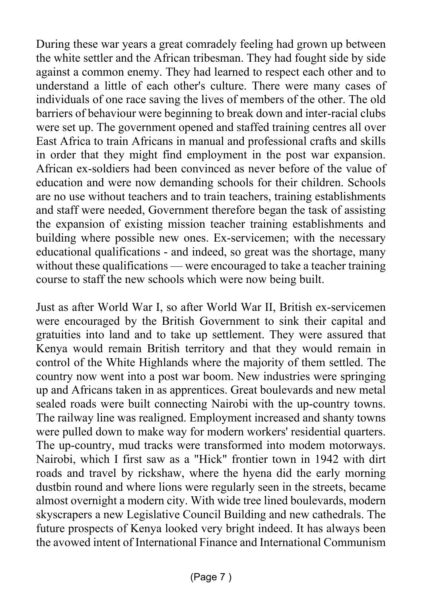During these war years a great comradely feeling had grown up between the white settler and the African tribesman. They had fought side by side against a common enemy. They had learned to respect each other and to understand a little of each other's culture. There were many cases of individuals of one race saving the lives of members of the other. The old barriers of behaviour were beginning to break down and inter-racial clubs were set up. The government opened and staffed training centres all over East Africa to train Africans in manual and professional crafts and skills in order that they might find employment in the post war expansion. African ex-soldiers had been convinced as never before of the value of education and were now demanding schools for their children. Schools are no use without teachers and to train teachers, training establishments and staff were needed, Government therefore began the task of assisting the expansion of existing mission teacher training establishments and building where possible new ones. Ex-servicemen; with the necessary educational qualifications - and indeed, so great was the shortage, many without these qualifications — were encouraged to take a teacher training course to staff the new schools which were now being built.

Just as after World War I, so after World War II, British ex-servicemen were encouraged by the British Government to sink their capital and gratuities into land and to take up settlement. They were assured that Kenya would remain British territory and that they would remain in control of the White Highlands where the majority of them settled. The country now went into a post war boom. New industries were springing up and Africans taken in as apprentices. Great boulevards and new metal sealed roads were built connecting Nairobi with the up-country towns. The railway line was realigned. Employment increased and shanty towns were pulled down to make way for modern workers' residential quarters. The up-country, mud tracks were transformed into modem motorways. Nairobi, which I first saw as a "Hick" frontier town in 1942 with dirt roads and travel by rickshaw, where the hyena did the early morning dustbin round and where lions were regularly seen in the streets, became almost overnight a modern city. With wide tree lined boulevards, modern skyscrapers a new Legislative Council Building and new cathedrals. The future prospects of Kenya looked very bright indeed. It has always been the avowed intent of International Finance and International Communism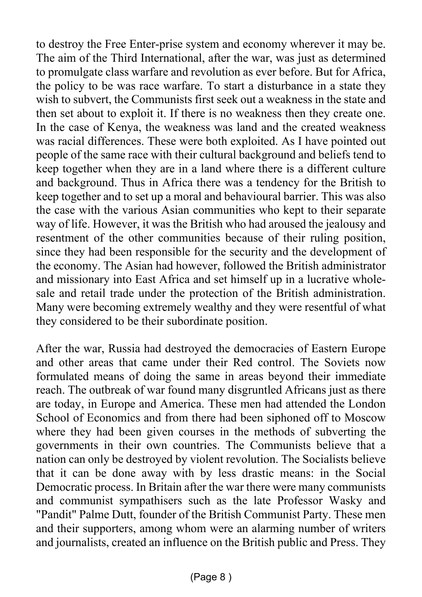to destroy the Free Enter-prise system and economy wherever it may be. The aim of the Third International, after the war, was just as determined to promulgate class warfare and revolution as ever before. But for Africa, the policy to be was race warfare. To start a disturbance in a state they wish to subvert, the Communists first seek out a weakness in the state and then set about to exploit it. If there is no weakness then they create one. In the case of Kenya, the weakness was land and the created weakness was racial differences. These were both exploited. As I have pointed out people of the same race with their cultural background and beliefs tend to keep together when they are in a land where there is a different culture and background. Thus in Africa there was a tendency for the British to keep together and to set up a moral and behavioural barrier. This was also the case with the various Asian communities who kept to their separate way of life. However, it was the British who had aroused the jealousy and resentment of the other communities because of their ruling position, since they had been responsible for the security and the development of the economy. The Asian had however, followed the British administrator and missionary into East Africa and set himself up in a lucrative wholesale and retail trade under the protection of the British administration. Many were becoming extremely wealthy and they were resentful of what they considered to be their subordinate position.

After the war, Russia had destroyed the democracies of Eastern Europe and other areas that came under their Red control. The Soviets now formulated means of doing the same in areas beyond their immediate reach. The outbreak of war found many disgruntled Africans just as there are today, in Europe and America. These men had attended the London School of Economics and from there had been siphoned off to Moscow where they had been given courses in the methods of subverting the governments in their own countries. The Communists believe that a nation can only be destroyed by violent revolution. The Socialists believe that it can be done away with by less drastic means: in the Social Democratic process. In Britain after the war there were many communists and communist sympathisers such as the late Professor Wasky and "Pandit" Palme Dutt, founder of the British Communist Party. These men and their supporters, among whom were an alarming number of writers and journalists, created an influence on the British public and Press. They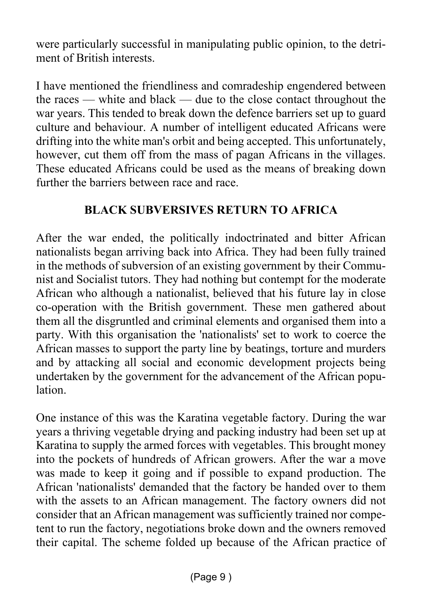were particularly successful in manipulating public opinion, to the detriment of British interests.

I have mentioned the friendliness and comradeship engendered between the races — white and black — due to the close contact throughout the war years. This tended to break down the defence barriers set up to guard culture and behaviour. A number of intelligent educated Africans were drifting into the white man's orbit and being accepted. This unfortunately, however, cut them off from the mass of pagan Africans in the villages. These educated Africans could be used as the means of breaking down further the barriers between race and race.

#### **BLACK SUBVERSIVES RETURN TO AFRICA**

After the war ended, the politically indoctrinated and bitter African nationalists began arriving back into Africa. They had been fully trained in the methods of subversion of an existing government by their Communist and Socialist tutors. They had nothing but contempt for the moderate African who although a nationalist, believed that his future lay in close co-operation with the British government. These men gathered about them all the disgruntled and criminal elements and organised them into a party. With this organisation the 'nationalists' set to work to coerce the African masses to support the party line by beatings, torture and murders and by attacking all social and economic development projects being undertaken by the government for the advancement of the African population.

One instance of this was the Karatina vegetable factory. During the war years a thriving vegetable drying and packing industry had been set up at Karatina to supply the armed forces with vegetables. This brought money into the pockets of hundreds of African growers. After the war a move was made to keep it going and if possible to expand production. The African 'nationalists' demanded that the factory be handed over to them with the assets to an African management. The factory owners did not consider that an African management was sufficiently trained nor competent to run the factory, negotiations broke down and the owners removed their capital. The scheme folded up because of the African practice of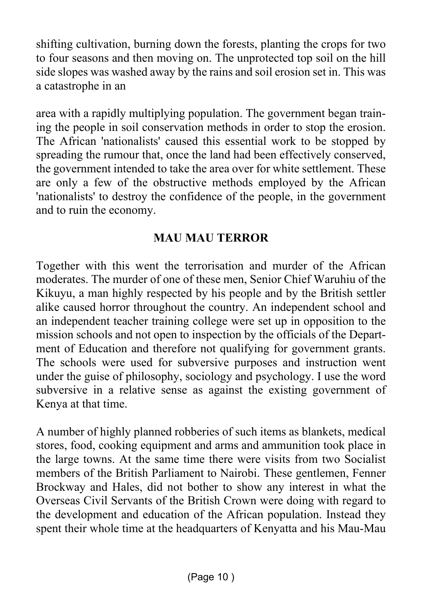shifting cultivation, burning down the forests, planting the crops for two to four seasons and then moving on. The unprotected top soil on the hill side slopes was washed away by the rains and soil erosion set in. This was a catastrophe in an

area with a rapidly multiplying population. The government began training the people in soil conservation methods in order to stop the erosion. The African 'nationalists' caused this essential work to be stopped by spreading the rumour that, once the land had been effectively conserved, the government intended to take the area over for white settlement. These are only a few of the obstructive methods employed by the African 'nationalists' to destroy the confidence of the people, in the government and to ruin the economy.

#### **MAU MAU TERROR**

Together with this went the terrorisation and murder of the African moderates. The murder of one of these men, Senior Chief Waruhiu of the Kikuyu, a man highly respected by his people and by the British settler alike caused horror throughout the country. An independent school and an independent teacher training college were set up in opposition to the mission schools and not open to inspection by the officials of the Department of Education and therefore not qualifying for government grants. The schools were used for subversive purposes and instruction went under the guise of philosophy, sociology and psychology. I use the word subversive in a relative sense as against the existing government of Kenya at that time.

A number of highly planned robberies of such items as blankets, medical stores, food, cooking equipment and arms and ammunition took place in the large towns. At the same time there were visits from two Socialist members of the British Parliament to Nairobi. These gentlemen, Fenner Brockway and Hales, did not bother to show any interest in what the Overseas Civil Servants of the British Crown were doing with regard to the development and education of the African population. Instead they spent their whole time at the headquarters of Kenyatta and his Mau-Mau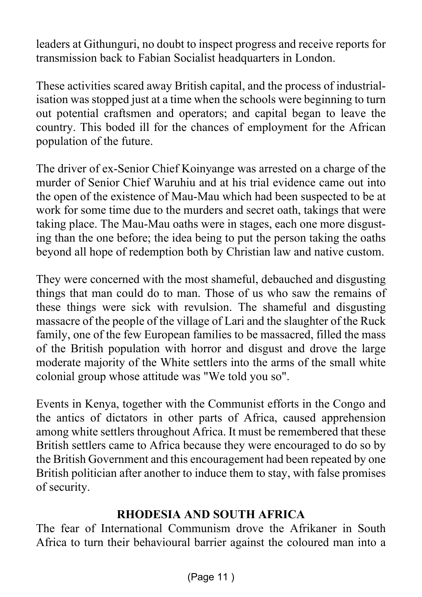leaders at Githunguri, no doubt to inspect progress and receive reports for transmission back to Fabian Socialist headquarters in London.

These activities scared away British capital, and the process of industrialisation was stopped just at a time when the schools were beginning to turn out potential craftsmen and operators; and capital began to leave the country. This boded ill for the chances of employment for the African population of the future.

The driver of ex-Senior Chief Koinyange was arrested on a charge of the murder of Senior Chief Waruhiu and at his trial evidence came out into the open of the existence of Mau-Mau which had been suspected to be at work for some time due to the murders and secret oath, takings that were taking place. The Mau-Mau oaths were in stages, each one more disgusting than the one before; the idea being to put the person taking the oaths beyond all hope of redemption both by Christian law and native custom.

They were concerned with the most shameful, debauched and disgusting things that man could do to man. Those of us who saw the remains of these things were sick with revulsion. The shameful and disgusting massacre of the people of the village of Lari and the slaughter of the Ruck family, one of the few European families to be massacred, filled the mass of the British population with horror and disgust and drove the large moderate majority of the White settlers into the arms of the small white colonial group whose attitude was "We told you so".

Events in Kenya, together with the Communist efforts in the Congo and the antics of dictators in other parts of Africa, caused apprehension among white settlers throughout Africa. It must be remembered that these British settlers came to Africa because they were encouraged to do so by the British Government and this encouragement had been repeated by one British politician after another to induce them to stay, with false promises of security.

#### **RHODESIA AND SOUTH AFRICA**

The fear of International Communism drove the Afrikaner in South Africa to turn their behavioural barrier against the coloured man into a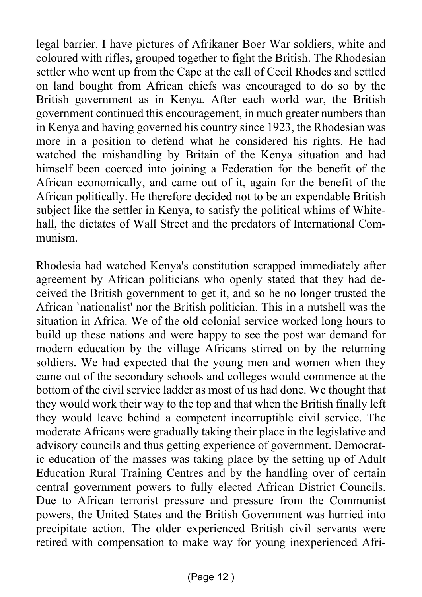legal barrier. I have pictures of Afrikaner Boer War soldiers, white and coloured with rifles, grouped together to fight the British. The Rhodesian settler who went up from the Cape at the call of Cecil Rhodes and settled on land bought from African chiefs was encouraged to do so by the British government as in Kenya. After each world war, the British government continued this encouragement, in much greater numbers than in Kenya and having governed his country since 1923, the Rhodesian was more in a position to defend what he considered his rights. He had watched the mishandling by Britain of the Kenya situation and had himself been coerced into joining a Federation for the benefit of the African economically, and came out of it, again for the benefit of the African politically. He therefore decided not to be an expendable British subject like the settler in Kenya, to satisfy the political whims of Whitehall, the dictates of Wall Street and the predators of International Communism.

Rhodesia had watched Kenya's constitution scrapped immediately after agreement by African politicians who openly stated that they had deceived the British government to get it, and so he no longer trusted the African `nationalist' nor the British politician. This in a nutshell was the situation in Africa. We of the old colonial service worked long hours to build up these nations and were happy to see the post war demand for modern education by the village Africans stirred on by the returning soldiers. We had expected that the young men and women when they came out of the secondary schools and colleges would commence at the bottom of the civil service ladder as most of us had done. We thought that they would work their way to the top and that when the British finally left they would leave behind a competent incorruptible civil service. The moderate Africans were gradually taking their place in the legislative and advisory councils and thus getting experience of government. Democratic education of the masses was taking place by the setting up of Adult Education Rural Training Centres and by the handling over of certain central government powers to fully elected African District Councils. Due to African terrorist pressure and pressure from the Communist powers, the United States and the British Government was hurried into precipitate action. The older experienced British civil servants were retired with compensation to make way for young inexperienced Afri-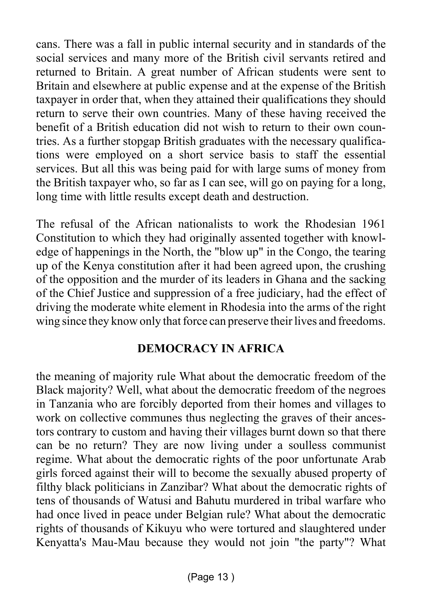cans. There was a fall in public internal security and in standards of the social services and many more of the British civil servants retired and returned to Britain. A great number of African students were sent to Britain and elsewhere at public expense and at the expense of the British taxpayer in order that, when they attained their qualifications they should return to serve their own countries. Many of these having received the benefit of a British education did not wish to return to their own countries. As a further stopgap British graduates with the necessary qualifications were employed on a short service basis to staff the essential services. But all this was being paid for with large sums of money from the British taxpayer who, so far as I can see, will go on paying for a long, long time with little results except death and destruction.

The refusal of the African nationalists to work the Rhodesian 1961 Constitution to which they had originally assented together with knowledge of happenings in the North, the "blow up" in the Congo, the tearing up of the Kenya constitution after it had been agreed upon, the crushing of the opposition and the murder of its leaders in Ghana and the sacking of the Chief Justice and suppression of a free judiciary, had the effect of driving the moderate white element in Rhodesia into the arms of the right wing since they know only that force can preserve their lives and freedoms.

#### **DEMOCRACY IN AFRICA**

the meaning of majority rule What about the democratic freedom of the Black majority? Well, what about the democratic freedom of the negroes in Tanzania who are forcibly deported from their homes and villages to work on collective communes thus neglecting the graves of their ancestors contrary to custom and having their villages burnt down so that there can be no return? They are now living under a soulless communist regime. What about the democratic rights of the poor unfortunate Arab girls forced against their will to become the sexually abused property of filthy black politicians in Zanzibar? What about the democratic rights of tens of thousands of Watusi and Bahutu murdered in tribal warfare who had once lived in peace under Belgian rule? What about the democratic rights of thousands of Kikuyu who were tortured and slaughtered under Kenyatta's Mau-Mau because they would not join "the party"? What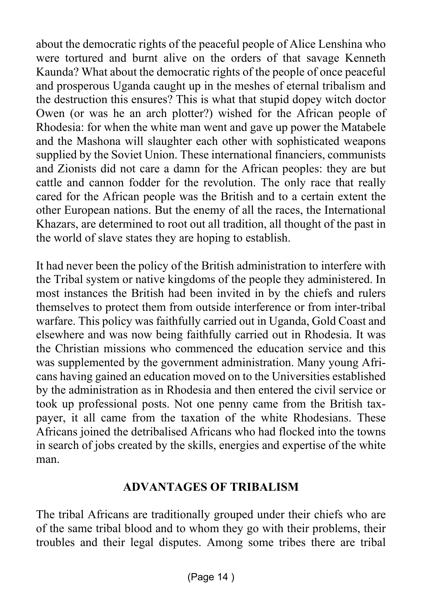about the democratic rights of the peaceful people of Alice Lenshina who were tortured and burnt alive on the orders of that savage Kenneth Kaunda? What about the democratic rights of the people of once peaceful and prosperous Uganda caught up in the meshes of eternal tribalism and the destruction this ensures? This is what that stupid dopey witch doctor Owen (or was he an arch plotter?) wished for the African people of Rhodesia: for when the white man went and gave up power the Matabele and the Mashona will slaughter each other with sophisticated weapons supplied by the Soviet Union. These international financiers, communists and Zionists did not care a damn for the African peoples: they are but cattle and cannon fodder for the revolution. The only race that really cared for the African people was the British and to a certain extent the other European nations. But the enemy of all the races, the International Khazars, are determined to root out all tradition, all thought of the past in the world of slave states they are hoping to establish.

It had never been the policy of the British administration to interfere with the Tribal system or native kingdoms of the people they administered. In most instances the British had been invited in by the chiefs and rulers themselves to protect them from outside interference or from inter-tribal warfare. This policy was faithfully carried out in Uganda, Gold Coast and elsewhere and was now being faithfully carried out in Rhodesia. It was the Christian missions who commenced the education service and this was supplemented by the government administration. Many young Africans having gained an education moved on to the Universities established by the administration as in Rhodesia and then entered the civil service or took up professional posts. Not one penny came from the British taxpayer, it all came from the taxation of the white Rhodesians. These Africans joined the detribalised Africans who had flocked into the towns in search of jobs created by the skills, energies and expertise of the white man.

#### **ADVANTAGES OF TRIBALISM**

The tribal Africans are traditionally grouped under their chiefs who are of the same tribal blood and to whom they go with their problems, their troubles and their legal disputes. Among some tribes there are tribal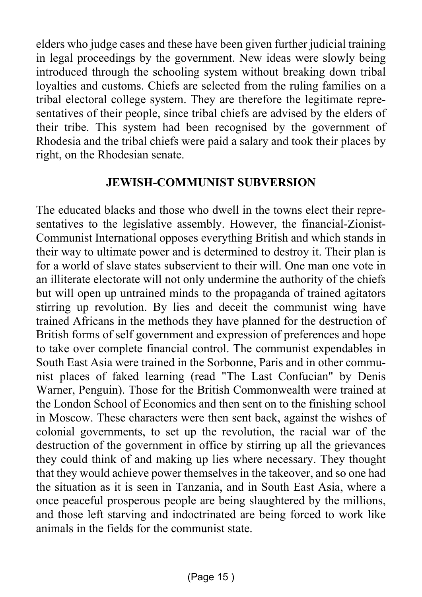elders who judge cases and these have been given further judicial training in legal proceedings by the government. New ideas were slowly being introduced through the schooling system without breaking down tribal loyalties and customs. Chiefs are selected from the ruling families on a tribal electoral college system. They are therefore the legitimate representatives of their people, since tribal chiefs are advised by the elders of their tribe. This system had been recognised by the government of Rhodesia and the tribal chiefs were paid a salary and took their places by right, on the Rhodesian senate.

#### **JEWISH-COMMUNIST SUBVERSION**

The educated blacks and those who dwell in the towns elect their representatives to the legislative assembly. However, the financial-Zionist-Communist International opposes everything British and which stands in their way to ultimate power and is determined to destroy it. Their plan is for a world of slave states subservient to their will. One man one vote in an illiterate electorate will not only undermine the authority of the chiefs but will open up untrained minds to the propaganda of trained agitators stirring up revolution. By lies and deceit the communist wing have trained Africans in the methods they have planned for the destruction of British forms of self government and expression of preferences and hope to take over complete financial control. The communist expendables in South East Asia were trained in the Sorbonne, Paris and in other communist places of faked learning (read "The Last Confucian" by Denis Warner, Penguin). Those for the British Commonwealth were trained at the London School of Economics and then sent on to the finishing school in Moscow. These characters were then sent back, against the wishes of colonial governments, to set up the revolution, the racial war of the destruction of the government in office by stirring up all the grievances they could think of and making up lies where necessary. They thought that they would achieve power themselves in the takeover, and so one had the situation as it is seen in Tanzania, and in South East Asia, where a once peaceful prosperous people are being slaughtered by the millions, and those left starving and indoctrinated are being forced to work like animals in the fields for the communist state.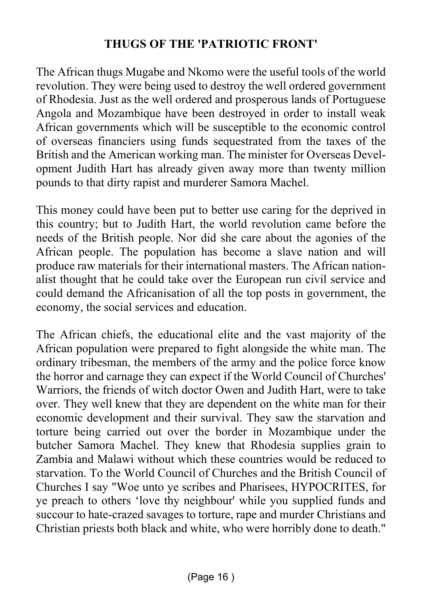#### **THUGS OF THE 'PATRIOTIC FRONT'**

The African thugs Mugabe and Nkomo were the useful tools of the world revolution. They were being used to destroy the well ordered government of Rhodesia. Just as the well ordered and prosperous lands of Portuguese Angola and Mozambique have been destroyed in order to install weak African governments which will be susceptible to the economic control of overseas financiers using funds sequestrated from the taxes of the British and the American working man. The minister for Overseas Development Judith Hart has already given away more than twenty million pounds to that dirty rapist and murderer Samora Machel.

This money could have been put to better use caring for the deprived in this country; but to Judith Hart, the world revolution came before the needs of the British people. Nor did she care about the agonies of the African people. The population has become a slave nation and will produce raw materials for their international masters. The African nationalist thought that he could take over the European run civil service and could demand the Africanisation of all the top posts in government, the economy, the social services and education.

The African chiefs, the educational elite and the vast majority of the African population were prepared to fight alongside the white man. The ordinary tribesman, the members of the army and the police force know the horror and carnage they can expect if the World Council of Churches' Warriors, the friends of witch doctor Owen and Judith Hart, were to take over. They well knew that they are dependent on the white man for their economic development and their survival. They saw the starvation and torture being carried out over the border in Mozambique under the butcher Samora Machel. They knew that Rhodesia supplies grain to Zambia and Malawi without which these countries would be reduced to starvation. To the World Council of Churches and the British Council of Churches I say "Woe unto ye scribes and Pharisees, HYPOCRITES, for ye preach to others 'love thy neighbour' while you supplied funds and succour to hate-crazed savages to torture, rape and murder Christians and Christian priests both black and white, who were horribly done to death."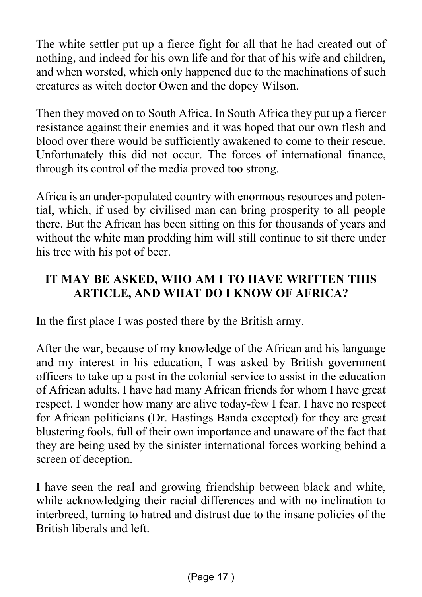The white settler put up a fierce fight for all that he had created out of nothing, and indeed for his own life and for that of his wife and children, and when worsted, which only happened due to the machinations of such creatures as witch doctor Owen and the dopey Wilson.

Then they moved on to South Africa. In South Africa they put up a fiercer resistance against their enemies and it was hoped that our own flesh and blood over there would be sufficiently awakened to come to their rescue. Unfortunately this did not occur. The forces of international finance, through its control of the media proved too strong.

Africa is an under-populated country with enormous resources and potential, which, if used by civilised man can bring prosperity to all people there. But the African has been sitting on this for thousands of years and without the white man prodding him will still continue to sit there under his tree with his pot of beer.

#### **IT MAY BE ASKED, WHO AM I TO HAVE WRITTEN THIS ARTICLE, AND WHAT DO I KNOW OF AFRICA?**

In the first place I was posted there by the British army.

After the war, because of my knowledge of the African and his language and my interest in his education, I was asked by British government officers to take up a post in the colonial service to assist in the education of African adults. I have had many African friends for whom I have great respect. I wonder how many are alive today-few I fear. I have no respect for African politicians (Dr. Hastings Banda excepted) for they are great blustering fools, full of their own importance and unaware of the fact that they are being used by the sinister international forces working behind a screen of deception.

I have seen the real and growing friendship between black and white, while acknowledging their racial differences and with no inclination to interbreed, turning to hatred and distrust due to the insane policies of the British liberals and left.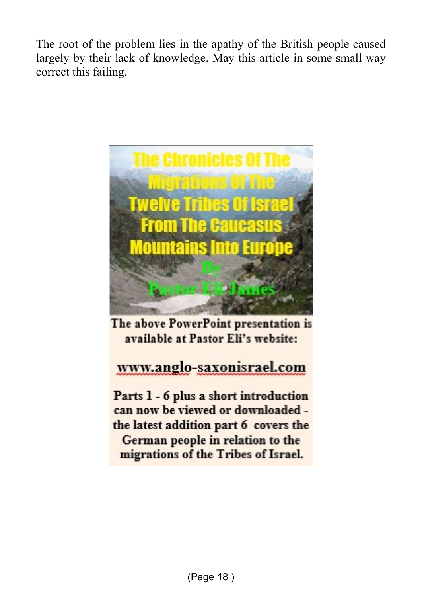The root of the problem lies in the apathy of the British people caused largely by their lack of knowledge. May this article in some small way correct this failing.



The above PowerPoint presentation is available at Pastor Eli's website:

### www.anglo-saxonisrael.com

Parts 1 - 6 plus a short introduction can now be viewed or downloaded the latest addition part 6 covers the German people in relation to the migrations of the Tribes of Israel.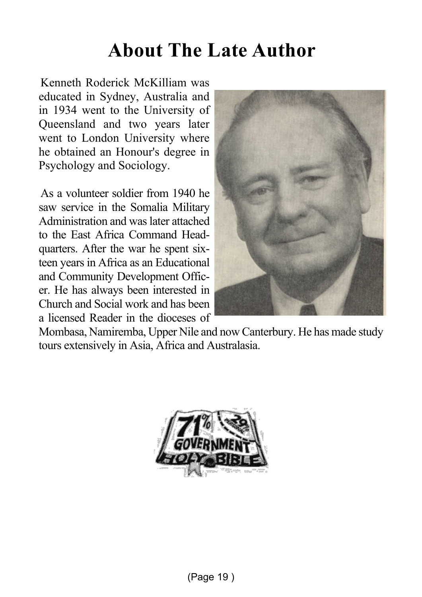## **About The Late Author**

Kenneth Roderick McKilliam was educated in Sydney, Australia and in 1934 went to the University of Queensland and two years later went to London University where he obtained an Honour's degree in Psychology and Sociology.

As a volunteer soldier from 1940 he saw service in the Somalia Military Administration and was later attached to the East Africa Command Headquarters. After the war he spent sixteen years in Africa as an Educational and Community Development Officer. He has always been interested in Church and Social work and has been a licensed Reader in the dioceses of



Mombasa, Namiremba, Upper Nile and now Canterbury. He has made study tours extensively in Asia, Africa and Australasia.